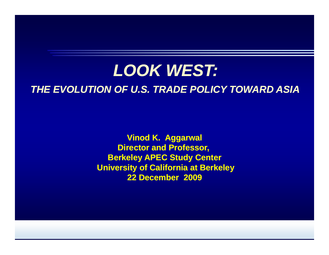## *LOOK WEST:*

### *THE EVOLUTION OF U.S. TRADE POLICY TOWARD ASIA*

**Vinod K. Aggarwal Director and Professor, Berkeley APEC Study Center University of California at Berkeley 22 D b 2009 December**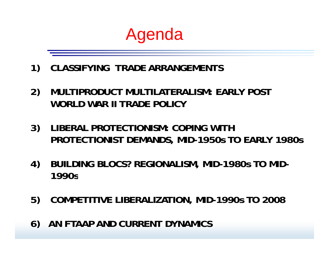# Agenda

- **1) CLASSIFYING TRADE ARRANGEMENTS**
- **2) MULTIPRODUCT MULTILATERALISM: EARLY POST WORLD WAR II TRADE POLICY**
- **3) LIBERAL PROTECTIONISM: COPING WITH PROTECTIONIST DEMANDS, MID-1950s TO EARLY 1980s**
- **4) BUILDING BLOCS? REGIONALISM, MID-1980s TO MID-1990s**
- **5) COMPETITIVE LIBERALIZATION, MID-1990s TO 2008**
- **6) AN FTAAP AND CURRENT DYNAMICS**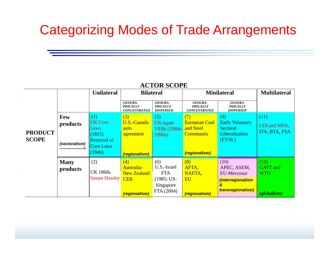## Categorizing Modes of Trade Arrangements

|                |                 |                     |                     | 11010001E           |                      |                                |                     |
|----------------|-----------------|---------------------|---------------------|---------------------|----------------------|--------------------------------|---------------------|
|                |                 | <b>Unilateral</b>   | <b>Bilateral</b>    |                     |                      | <b>Minilateral</b>             | <b>Multilateral</b> |
|                |                 |                     |                     |                     |                      |                                |                     |
|                |                 |                     | <b>GEOGRA-</b>      | <b>GEOGRA-</b>      | <b>GEOGRA-</b>       | <b>GEOGRA-</b>                 |                     |
|                |                 |                     | <b>PHICALLY</b>     | <b>PHICALLY</b>     | <b>PHICALLY</b>      | <b>PHICALLY</b>                |                     |
|                |                 |                     | <b>CONCENTRATED</b> | <b>DISPERSED</b>    | <b>CONCENTRATED</b>  | <b>DISPERSED</b>               |                     |
|                | <b>Few</b>      | (1)                 | (3)                 | (5)                 | (7)                  | (9)                            | (11)                |
|                | products        | <b>UK Corn</b>      | U.S.-Canada         | US-Japan            | <b>European Coal</b> | <b>Early Voluntary</b>         |                     |
|                |                 | Laws                | auto                | <b>VERs</b> (1980s- | and Steel            | <b>Sectoral</b>                | LTA and MFA,        |
| <b>PRODUCT</b> |                 | (1815)              | agreement           |                     | <b>Community</b>     | Liberalization                 | ITA, BTA, FSA       |
|                |                 |                     |                     | 1990s)              |                      |                                |                     |
| <b>SCOPE</b>   | (sectoralism)   | <b>Removal of</b>   |                     |                     |                      | (EVSL)                         |                     |
|                | --------------- | Corn Laws           |                     |                     |                      |                                |                     |
|                |                 | (1846)              |                     |                     |                      |                                |                     |
|                |                 |                     | (regionalism)       |                     | (regionalism)        |                                |                     |
|                | <b>Many</b>     | (2)                 | (4)                 | (6)                 | (8)                  | (10)                           | (12)                |
|                |                 |                     | Australia-          | U.S.-Israel         | AFTA,                | APEC, ASEM,                    | <b>GATT</b> and     |
|                | products        | <b>UK 1860s</b>     | <b>New Zealand</b>  | <b>FTA</b>          | NAFTA,               | <b>EU-Mercosur</b>             | <b>WTO</b>          |
|                |                 | <b>Smoot Hawley</b> |                     |                     |                      |                                |                     |
|                |                 |                     | <b>CER</b>          | $(1985; US-$        | <b>EU</b>            | <i><b>interregionalism</b></i> |                     |
|                |                 |                     |                     | Singapore           |                      | &                              |                     |
|                |                 |                     |                     | FTA (2004)          |                      | transregionalism)              |                     |
|                |                 |                     | (regionalism)       |                     | (regionalism)        |                                | (globalism)         |

### **ACTOR SCOPE**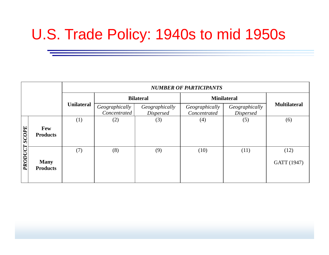# U.S. Trade Policy: 1940s to mid 1950s

|               |                                | <b>NUMBER OF PARTICIPANTS</b> |                                |                                    |                                |                                    |                     |
|---------------|--------------------------------|-------------------------------|--------------------------------|------------------------------------|--------------------------------|------------------------------------|---------------------|
|               |                                |                               |                                | <b>Bilateral</b>                   | <b>Minilateral</b>             |                                    |                     |
|               |                                | <b>Unilateral</b>             | Geographically<br>Concentrated | Geographically<br><b>Dispersed</b> | Geographically<br>Concentrated | Geographically<br><b>Dispersed</b> | <b>Multilateral</b> |
|               |                                | (1)                           | (2)                            | (3)                                | (4)                            | (5)                                | (6)                 |
| PRODUCT SCOPE | Few<br><b>Products</b>         |                               |                                |                                    |                                |                                    |                     |
|               |                                | (7)                           | (8)                            | (9)                                | (10)                           | (11)                               | (12)                |
|               | <b>Many</b><br><b>Products</b> |                               |                                |                                    |                                |                                    | GATT (1947)         |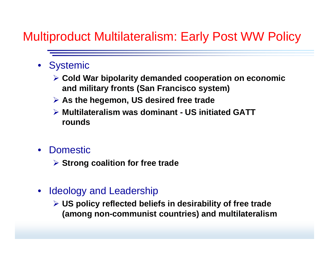## Multiproduct Multilateralism: Early Post WW Policy

- Systemic
	- ¾ **Cold War bipolarity demanded cooperation on economic economic and military fronts (San Francisco system)**
	- ¾ **As the hegemon, US desired free trade**
	- ¾ **Multilateralism was dominant dominant - US initiated GATT rounds**
- $\bullet$  Domestic
	- ¾ **Strong coalition for free trade**
- • Ideology and Leadership
	- **≻** US policy reflected beliefs in desirability of free trade **(among non-communist countries) and multilateralism**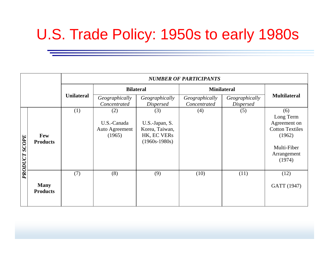# U.S. Trade Policy: 1950s to early 1980s

|                      |                                | <b>NUMBER OF PARTICIPANTS</b> |                                |                                                  |                                |                         |                                      |
|----------------------|--------------------------------|-------------------------------|--------------------------------|--------------------------------------------------|--------------------------------|-------------------------|--------------------------------------|
|                      |                                |                               | <b>Bilateral</b>               |                                                  | <b>Minilateral</b>             |                         |                                      |
|                      |                                | <b>Unilateral</b>             | Geographically<br>Concentrated | Geographically                                   | Geographically<br>Concentrated | Geographically          | <b>Multilateral</b>                  |
|                      |                                | (1)                           | (2)<br>U.S.-Canada             | <b>Dispersed</b><br>(3)<br>U.S.-Japan, S.        | (4)                            | <b>Dispersed</b><br>(5) | (6)<br>Long Term<br>Agreement on     |
|                      | Few<br><b>Products</b>         |                               | Auto Agreement<br>(1965)       | Korea, Taiwan,<br>HK, EC VERs<br>$(1960s-1980s)$ |                                |                         | <b>Cotton Textiles</b><br>(1962)     |
| <b>FRODUCT SCOPE</b> |                                |                               |                                |                                                  |                                |                         | Multi-Fiber<br>Arrangement<br>(1974) |
|                      |                                | (7)                           | (8)                            | (9)                                              | (10)                           | (11)                    | (12)                                 |
|                      | <b>Many</b><br><b>Products</b> |                               |                                |                                                  |                                |                         | GATT (1947)                          |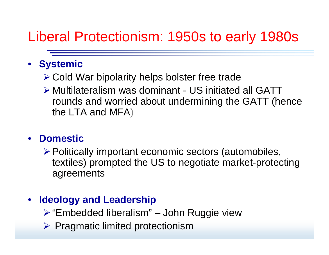## Liberal Protectionism: 1950s to early 1980s

## • **Systemic**

- $\triangleright$  Cold War bipolarity helps bolster free trade
- ¾ Multilateralism was dominant US initiated all GATT rounds and worried about undermining the GATT (hence the LTA and MFA)

### • **Domestic**

¾Politically important economic sectors (automobiles, textiles) prompted the US to negotiate market-protecting agreements

### $\bullet$ **Ideology and Leadership**

- ¾ "Embedded liberalism" –– John Ruggie view
- ¾ Pragmatic limited protectionism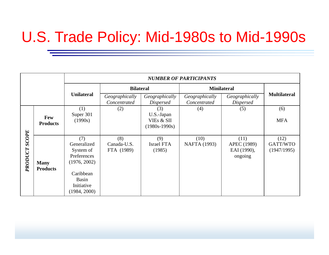# U.S. Trade Policy: Mid-1980s to Mid-1990s

|                         |                                | <b>NUMBER OF PARTICIPANTS</b>                                                                                      |                                  |                                                    |                                                                      |                                               |                                 |
|-------------------------|--------------------------------|--------------------------------------------------------------------------------------------------------------------|----------------------------------|----------------------------------------------------|----------------------------------------------------------------------|-----------------------------------------------|---------------------------------|
|                         |                                |                                                                                                                    | <b>Bilateral</b>                 |                                                    | <b>Minilateral</b>                                                   | <b>Multilateral</b>                           |                                 |
|                         |                                | <b>Unilateral</b>                                                                                                  | Geographically<br>Concentrated   | Geographically<br><b>Dispersed</b>                 | Geographically<br>Geographically<br>Concentrated<br><b>Dispersed</b> |                                               |                                 |
|                         | Few<br><b>Products</b>         | (1)<br>Super 301<br>(1990s)                                                                                        | (2)                              | (3)<br>U.S.-Japan<br>VIEs & SII<br>$(1980s-1990s)$ | (4)                                                                  | (5)                                           | (6)<br><b>MFA</b>               |
| <b>SCOPE</b><br>PRODUCT | <b>Many</b><br><b>Products</b> | (7)<br>Generalized<br>System of<br>Preferences<br>(1976, 2002)<br>Caribbean<br>Basin<br>Initiative<br>(1984, 2000) | (8)<br>Canada-U.S.<br>FTA (1989) | (9)<br>Israel FTA<br>(1985)                        | (10)<br><b>NAFTA</b> (1993)                                          | (11)<br>APEC (1989)<br>EAI (1990),<br>ongoing | (12)<br>GATT/WTO<br>(1947/1995) |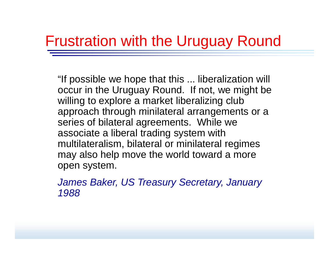## Frustration with the Uruguay Round

"If possible we hope that this ... liberalization will occur in the Uruguay Round. If not, we might be willing to explore a market liberalizing club approach through minilateral arrangements or a series of bilateral agreements. While we associate a liberal trading system with multilateralism, bilateral or minilateral regimes may also help move the world toward a more open system.

*James Baker, US Treasury Secretary, January 1988*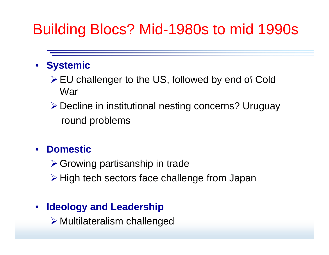# Building Blocs? Mid-1980s to mid 1990s

## • **Systemic**

- $\triangleright$  EU challenger to the US, followed by end of Cold War
- ≻ Decline in institutional nesting concerns? Uruguay round problems

### •**Domestic**

- $\triangleright$  Growing partisanship in trade
- ≻ High tech sectors face challenge from Japan

### $\bullet$ **Ideology and Leadership**

¾ Multilateralism challenged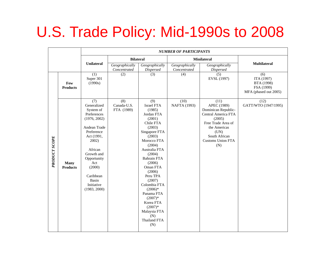# U.S. Trade Policy: Mid-1990s to 2008

|               |                                | <b>NUMBER OF PARTICIPANTS</b>                                                                                                                                                                                                       |                                  |                                                                                                                                                                                                                                                                                                                                                                              |                                |                                                                                                                                                                               |                                                                        |
|---------------|--------------------------------|-------------------------------------------------------------------------------------------------------------------------------------------------------------------------------------------------------------------------------------|----------------------------------|------------------------------------------------------------------------------------------------------------------------------------------------------------------------------------------------------------------------------------------------------------------------------------------------------------------------------------------------------------------------------|--------------------------------|-------------------------------------------------------------------------------------------------------------------------------------------------------------------------------|------------------------------------------------------------------------|
|               |                                |                                                                                                                                                                                                                                     | <b>Bilateral</b>                 |                                                                                                                                                                                                                                                                                                                                                                              |                                | <b>Minilateral</b>                                                                                                                                                            |                                                                        |
|               |                                | <b>Unilateral</b>                                                                                                                                                                                                                   | Geographically<br>Concentrated   | Geographically<br>Dispersed                                                                                                                                                                                                                                                                                                                                                  | Geographically<br>Concentrated | Geographically<br>Dispersed                                                                                                                                                   | <b>Multilateral</b>                                                    |
|               | Few<br><b>Products</b>         | $\overline{(1)}$<br>Super 301<br>(1990s)                                                                                                                                                                                            | (2)                              | (3)                                                                                                                                                                                                                                                                                                                                                                          | (4)                            | (5)<br>EVSL (1997)                                                                                                                                                            | (6)<br>ITA (1997)<br>BTA (1998)<br>FSA (1999)<br>MFA (phased out 2005) |
| PRODUCT SCOPE | <b>Many</b><br><b>Products</b> | (7)<br>Generalized<br>System of<br>Preferences<br>(1976, 2002)<br>Andean Trade<br>Preference<br>Act (1991,<br>$2002$ )<br>African<br>Growth and<br>Opportunity<br>Act<br>(2000)<br>Caribbean<br>Basin<br>Initiative<br>(1983, 2000) | (8)<br>Canada-U.S.<br>FTA (1989) | (9)<br><b>Israel FTA</b><br>(1985)<br>Jordan FTA<br>(2001)<br>Chile FTA<br>(2003)<br>Singapore FTA<br>(2003)<br>Morocco FTA<br>(2004)<br>Australia FTA<br>(2004)<br><b>Bahrain FTA</b><br>(2006)<br>Oman FTA<br>(2006)<br>Peru TPA<br>(2007)<br>Colombia FTA<br>$(2006)*$<br>Panama FTA<br>$(2007)*$<br>Korea FTA<br>$(2007)*$<br>Malaysia FTA<br>(N)<br>Thailand FTA<br>(N) | (10)<br>NAFTA (1993)           | (11)<br>APEC (1989)<br>Dominican Republic-<br>Central America FTA<br>(2005)<br>Free Trade Area of<br>the Americas<br>(UN)<br>South African<br><b>Customs Union FTA</b><br>(N) | (12)<br>GATT/WTO (1947/1995)                                           |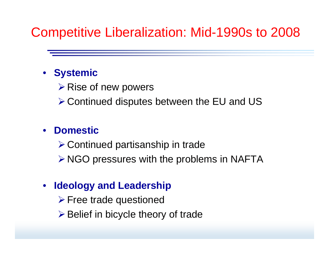## Competitive Liberalization: Mid-1990s to 2008

### • **Systemic**

 $\triangleright$  Rise of new powers

 $\triangleright$  Continued disputes between the EU and US

#### •**Domestic**

 $\triangleright$  Continued partisanship in trade

 $\triangleright$  NGO pressures with the problems in NAFTA

#### •**Ideology and Leadership**

 $\triangleright$  Free trade questioned

 $\triangleright$  Belief in bicycle theory of trade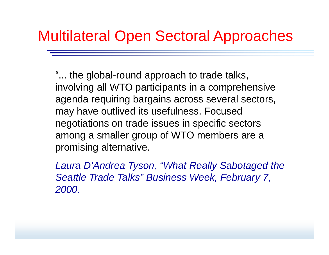## Multilateral Open Sectoral Approaches

"... the global-round approach to trade talks, involving all WTO participants in a comprehensive agenda requiring bargains across several sectors, may have outlived its usefulness. Focused negotiations on trade issues in specific sectors among a smaller group of WTO members are a promising alternative.

*Laura D'Andrea Tyson, "What Really Sabotaged the*  Seattle Trade Talks" <u>Business Week,</u> February 7, *2000.*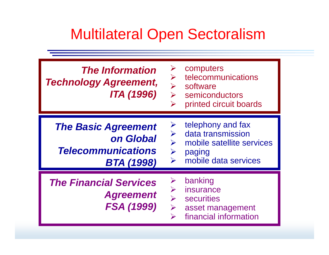# Multilateral Open Sectoralism

| <b>The Information</b><br><b>Technology Agreement,</b><br>ITA (1996)                      | computers<br>telecommunications<br>$\blacktriangleright$<br>software<br>semiconductors<br>$\blacktriangleright$<br>printed circuit boards<br>$\blacktriangleright$ |
|-------------------------------------------------------------------------------------------|--------------------------------------------------------------------------------------------------------------------------------------------------------------------|
| <b>The Basic Agreement</b><br>on Global<br><b>Telecommunications</b><br><b>BTA (1998)</b> | telephony and fax<br>➤<br>data transmission<br>mobile satellite services<br>$\blacktriangleright$<br>paging<br>mobile data services<br>$\blacktriangleright$       |
| <b>The Financial Services</b><br><b>Agreement</b><br><b>FSA (1999)</b>                    | banking<br>insurance<br><b>securities</b><br>$\blacktriangleright$<br>asset management<br>financial information                                                    |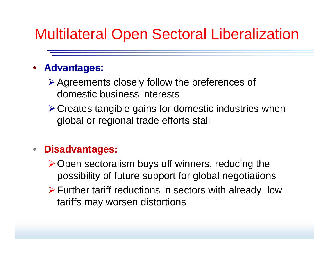# Multilateral Open Sectoral Liberalization

#### •**Advantages:**

- $\triangleright$  Agreements closely follow the preferences of domestic business interests
- $\triangleright$  Creates tangible gains for domestic industries when global or regional trade efforts stall

### $\bullet$ **Disadvantages:**

- $\triangleright$  Open sectoralism buys off winners, reducing the possibility of future support for global negotiations
- $\triangleright$  Further tariff reductions in sectors with already low tariffs may worsen distortions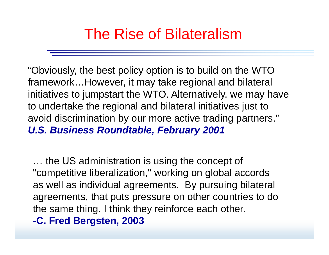# The Rise of Bilateralism

"Obviously, the best policy option is to build on the WTO framework…However, it may take regional and bilateral initiatives to jumpstart the WTO. Alternatively, we may have to undertake the regional and bilateral initiatives just to avoid discrimination by our more active trading partners." *U.S. Business Roundtable, February 2001*

… the US administration is using the concept of "competitive liberalization," working on global accords as well as individual agreements. By pursuing bilateral agreements, that puts pressure on other countries to do the same thing. I think they reinforce each other. **-C. Fred Bergsten, 2003**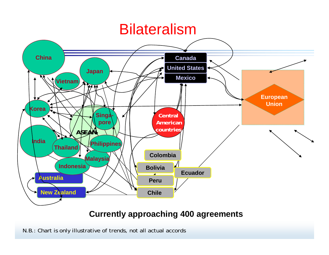## Bilateralism



### **Currently approaching 400 agreements**

N.B.: Chart is only illustrative of trends, not all actual accords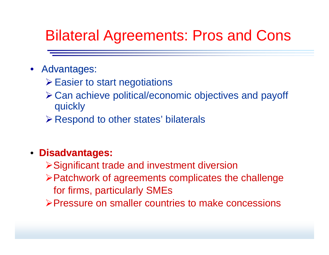# Bilateral Agreements: Pros and Cons

### • Advantages:

- ≻ Easier to start negotiations
- ¾Can achieve political/economic objectives and payoff quickly
- ¾Respond to other states' bilaterals

### • **Disadvantages:**

- ¾Significant trade and investment diversion
- ≻Patchwork of agreements complicates the challenge for firms, particularly SMEs
- ¾Pressure on smaller countries to make concessions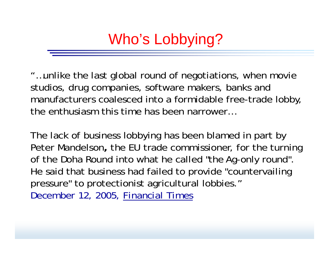Who's Lobbying?

"...unlike the last global round of negotiations, when movie studios, drug companies, software makers, banks and manufacturers coalesced into a formidable free-trade lobby, the enthusiasm this time has been narrower…

The lack of business lobbying has been blamed in part by Peter Mandelson, the EU trade commissioner, for the turning of the Doha Round into what he called "the Ag-only round". He said that business had failed to provide "countervailing pressure" to protectionist agricultural lobbies." *December 12, 2005, Financial Times*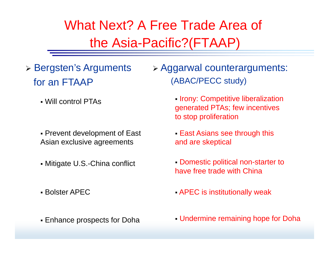What Next? A Free Trade Area of the Asia-Pacific?(FTAAP)

- ¾ Bergsten's Arguments for an FTAAP
	-
	- Prevent development of East Asian exclusive agreements
	- Mitigate U.S.-China conflict
	- Bolster APFC
	- **Enhance prospects for Doha**

¾ Aggarwal counterarguments: P
(ABAC/PECC study)

- **Irony: Competitive liberalization** • Will control PTAs **Exercise State of the Competitive Incentives**<br>generated PTAs; few incentives to stop proliferation
	- East Asians see through this and are skeptical
	- Domestic political non-starter to have free trade with China
	- $\overline{B}$  APEC is institutionally weak
	- **E** Undermine remaining hope for Doha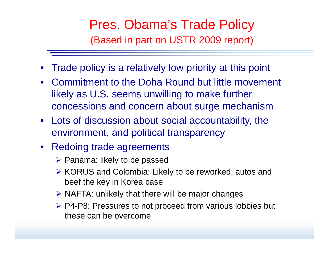## Pres. Obama's Trade Policy (Based in part on USTR 2009 report)

- •Trade policy is a relatively low priority at this point
- Commitment to the Doha Round but little movement likely as U.S. seems unwilling to make further concessions and concern about sur ge mechanism
- Lots of discussion about social accountability, the environment, and political transparency
- Redoing trade agreements
	- $\triangleright$  Panama: likely to be passed
	- **► KORUS and Colombia: Likely to be reworked; autos and** beef the key in Korea case
	- $\triangleright$  NAFTA: unlikely that there will be major changes
	- ▶ P4-P8: Pressures to not proceed from various lobbies but these can be overcome